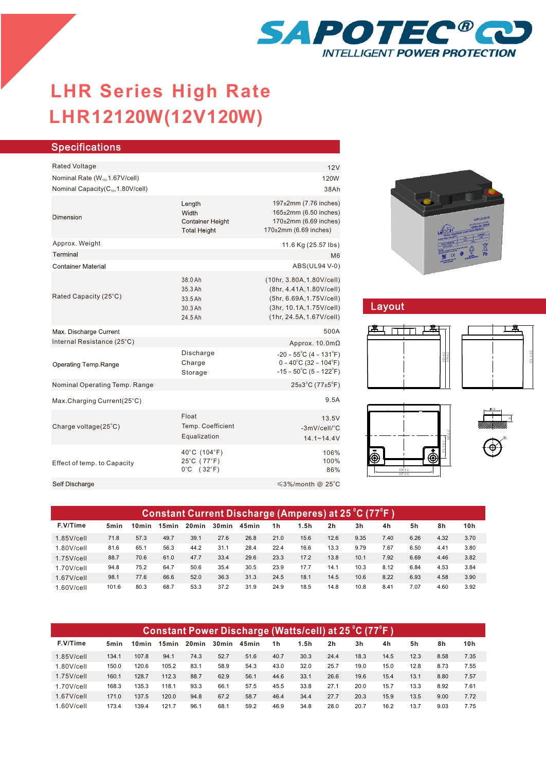

# **LHR12120W(12V120W) LHR Series High Rate**

| <b>Specifications</b>                         |                                                                   |                                                                                                                                                   |  |  |  |  |  |
|-----------------------------------------------|-------------------------------------------------------------------|---------------------------------------------------------------------------------------------------------------------------------------------------|--|--|--|--|--|
|                                               |                                                                   |                                                                                                                                                   |  |  |  |  |  |
| Rated Voltage                                 |                                                                   | 12V                                                                                                                                               |  |  |  |  |  |
| Nominal Rate (W <sub>15</sub> , 1.67V/cell)   |                                                                   | 120W                                                                                                                                              |  |  |  |  |  |
| Nominal Capacity(C <sub>10</sub> ,1.80V/cell) |                                                                   | 38Ah                                                                                                                                              |  |  |  |  |  |
| Dimension                                     | Length<br>Width<br><b>Container Height</b><br><b>Total Height</b> | 197±2mm (7.76 inches)<br>165±2mm (6.50 inches)<br>170±2mm (6.69 inches)<br>170±2mm (6.69 inches)                                                  |  |  |  |  |  |
| Approx. Weight                                |                                                                   | 11.6 Kg (25.57 lbs)                                                                                                                               |  |  |  |  |  |
| Terminal                                      |                                                                   | M <sub>6</sub>                                                                                                                                    |  |  |  |  |  |
| <b>Container Material</b>                     |                                                                   | ABS(UL94 V-0)                                                                                                                                     |  |  |  |  |  |
| Rated Capacity (25°C)                         | 38.0 Ah<br>35.3 Ah<br>33.5 Ah<br>30.3 Ah<br>24.5 Ah               | (10hr, 3.80A, 1.80V/cell)<br>(8hr, 4.41A, 1.80V/cell)<br>(5hr, 6.69A, 1.75V/cell)<br>(3hr, 10.1A, 1.75 V/cell)<br>(1hr, 24.5A, 1.67V/cell)        |  |  |  |  |  |
| Max. Discharge Current                        |                                                                   | 500A                                                                                                                                              |  |  |  |  |  |
| Internal Resistance (25°C)                    |                                                                   | Approx. $10.0 \text{m}\Omega$                                                                                                                     |  |  |  |  |  |
| Operating Temp.Range                          | Discharge<br>Charge<br>Storage                                    | $-20 \sim 55^{\circ}$ C (4 ~ 131 $^{\circ}$ F)<br>$0 \sim 40^{\circ}$ C (32 ~ 104 $^{\circ}$ F)<br>$-15 \sim 50^{\circ}$ C (5 ~ 122 $^{\circ}$ F) |  |  |  |  |  |
| Nominal Operating Temp. Range                 |                                                                   | $25\pm3$ °C (77 $\pm5$ °F)                                                                                                                        |  |  |  |  |  |
| Max.Charging Current(25°C)                    |                                                                   | 9.5A                                                                                                                                              |  |  |  |  |  |
| Charge voltage(25°C)                          | Float<br>Temp. Coefficient<br>Equalization                        | 13.5V<br>-3mV/cell/°C<br>$14.1 - 14.4V$                                                                                                           |  |  |  |  |  |
| Effect of temp. to Capacity                   | 40°C (104°F)<br>25°C (77°F)<br>$0^{\circ}$ C (32 $^{\circ}$ F)    | 106%<br>100%<br>86%                                                                                                                               |  |  |  |  |  |
| Self Discharge                                |                                                                   | ≤3%/month @ 25°C                                                                                                                                  |  |  |  |  |  |
|                                               |                                                                   |                                                                                                                                                   |  |  |  |  |  |



## Layout







| (Constant Current Discharge (Amperes) at 25 °C (77°F ) |       |       |                   |                   |       |       |      |      |                |      |      |      |      |      |
|--------------------------------------------------------|-------|-------|-------------------|-------------------|-------|-------|------|------|----------------|------|------|------|------|------|
| F.V/Time                                               | 5min  | 10min | 15 <sub>min</sub> | 20 <sub>min</sub> | 30min | 45min | 1h   | 1.5h | 2 <sub>h</sub> | 3h   | 4h   | 5h   | 8h   | 10h  |
| $1.85$ V/cell                                          | 71.8  | 57.3  | 49.7              | 39.1              | 27.6  | 26.8  | 21.0 | 15.6 | 12.6           | 9.35 | 7.40 | 6.26 | 4.32 | 3.70 |
| $1.80$ V/cell                                          | 81.6  | 65.1  | 56.3              | 44.2              | 31.1  | 28.4  | 22.4 | 16.6 | 13.3           | 9.79 | 7.67 | 6.50 | 4.41 | 3.80 |
| $1.75$ V/cell                                          | 88.7  | 70.6  | 61.0              | 47.7              | 33.4  | 29.6  | 23.3 | 17.2 | 13.8           | 10.1 | 7.92 | 6.69 | 4.46 | 3.82 |
| $1.70$ V/cell                                          | 94.8  | 75.2  | 64.7              | 50.6              | 35.4  | 30.5  | 23.9 | 17.7 | 14.1           | 10.3 | 8.12 | 6.84 | 4.53 | 3.84 |
| $1.67$ V/cell                                          | 98.1  | 77.6  | 66.6              | 52.0              | 36.3  | 31.3  | 24.5 | 18.1 | 14.5           | 10.6 | 8.22 | 6.93 | 4.58 | 3.90 |
| $1.60$ V/cell                                          | 101.6 | 80.3  | 68.7              | 53.3              | 37.2  | 31.9  | 24.9 | 18.5 | 14.8           | 10.8 | 8.41 | 7.07 | 4.60 | 3.92 |

| <u> Constant Power Discharge (Watts/cell) at 25 °C (77°F )</u> |                  |                   |       |                   |       |       |                |      |      |      |      |      |      |      |
|----------------------------------------------------------------|------------------|-------------------|-------|-------------------|-------|-------|----------------|------|------|------|------|------|------|------|
| F.V/Time                                                       | 5 <sub>min</sub> | 10 <sub>min</sub> | 15min | 20 <sub>min</sub> | 30min | 45min | 1 <sub>h</sub> | 1.5h | 2h   | 3h   | 4h   | 5h   | 8h   | 10h  |
| $1.85$ V/cell                                                  | 134.1            | 107.8             | 94.1  | 74.3              | 52.7  | 51.6  | 40.7           | 30.3 | 24.4 | 18.3 | 14.5 | 12.3 | 8.58 | 7.35 |
| $1.80$ V/cell                                                  | 150.0            | 120.6             | 105.2 | 83.1              | 58.9  | 54.3  | 43.0           | 32.0 | 25.7 | 19.0 | 15.0 | 12.8 | 8.73 | 7.55 |
| $1.75$ V/cell                                                  | 160.1            | 128.7             | 112.3 | 88.7              | 62.9  | 56.1  | 44.6           | 33.1 | 26.6 | 19.6 | 15.4 | 13.1 | 8.80 | 7.57 |
| $1.70$ V/cell                                                  | 168.3            | 135.3             | 118.1 | 93.3              | 66.1  | 57.5  | 45.5           | 33.8 | 27.1 | 20.0 | 15.7 | 13.3 | 8.92 | 7.61 |
| $1.67$ V/cell                                                  | 171.0            | 137.5             | 120.0 | 94.8              | 67.2  | 58.7  | 46.4           | 34.4 | 27.7 | 20.3 | 15.9 | 13.5 | 9.00 | 7.72 |
| $1.60$ V/cell                                                  | 173.4            | 139.4             | 121.7 | 96.1              | 68.1  | 59.2  | 46.9           | 34.8 | 28.0 | 20.7 | 16.2 | 13.7 | 9.03 | 7.75 |